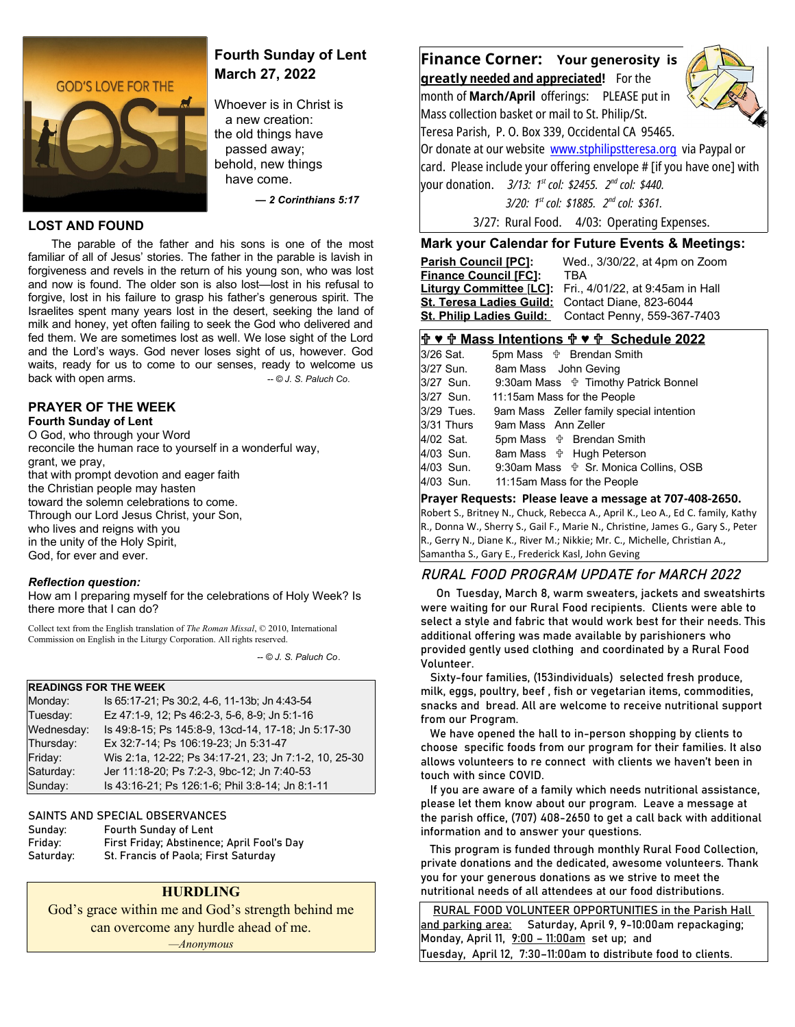

# **Fourth Sunday of Lent March 27, 2022**

Whoever is in Christ is a new creation: the old things have passed away; behold, new things have come.

 *— 2 Corinthians 5:17*

#### **LOST AND FOUND**

The parable of the father and his sons is one of the most familiar of all of Jesus' stories. The father in the parable is lavish in forgiveness and revels in the return of his young son, who was lost and now is found. The older son is also lost—lost in his refusal to forgive, lost in his failure to grasp his father's generous spirit. The Israelites spent many years lost in the desert, seeking the land of milk and honey, yet often failing to seek the God who delivered and fed them. We are sometimes lost as well. We lose sight of the Lord and the Lord's ways. God never loses sight of us, however. God waits, ready for us to come to our senses, ready to welcome us back with open arms. *about*  $\sim$  *-- © J. S. Paluch Co.* 

### **PRAYER OF THE WEEK**

**Fourth Sunday of Lent** O God, who through your Word reconcile the human race to yourself in a wonderful way, grant, we pray, that with prompt devotion and eager faith the Christian people may hasten toward the solemn celebrations to come. Through our Lord Jesus Christ, your Son, who lives and reigns with you in the unity of the Holy Spirit, God, for ever and ever.

#### *Reflection question:*

How am I preparing myself for the celebrations of Holy Week? Is there more that I can do?

Collect text from the English translation of *The Roman Missal*, © 2010, International Commission on English in the Liturgy Corporation. All rights reserved.

 *-- © J. S. Paluch Co*.

#### **READINGS FOR THE WEEK**

| Monday:    | Is 65:17-21; Ps 30:2, 4-6, 11-13b; Jn 4:43-54         |
|------------|-------------------------------------------------------|
| Tuesday:   | Ez 47:1-9, 12; Ps 46:2-3, 5-6, 8-9; Jn 5:1-16         |
| Wednesday: | Is 49:8-15; Ps 145:8-9, 13cd-14, 17-18; Jn 5:17-30    |
| Thursday:  | Ex 32:7-14; Ps 106:19-23; Jn 5:31-47                  |
| Friday:    | Wis 2:1a, 12-22; Ps 34:17-21, 23; Jn 7:1-2, 10, 25-30 |
| Saturday:  | Jer 11:18-20; Ps 7:2-3, 9bc-12; Jn 7:40-53            |
| Sunday:    | Is 43:16-21; Ps 126:1-6; Phil 3:8-14; Jn 8:1-11       |

#### SAINTS AND SPECIAL OBSERVANCES

| Sunday:   | <b>Fourth Sunday of Lent</b>               |
|-----------|--------------------------------------------|
| Friday:   | First Friday; Abstinence; April Fool's Day |
| Saturday: | St. Francis of Paola; First Saturday       |

### **HURDLING**

God's grace within me and God's strength behind me can overcome any hurdle ahead of me. *—Anonymous*

**Finance Corner: Your generosity is greatl y needed and appreciated!** For the month of **March/April** offerings: PLEASE put in Mass collection basket or mail to St. Philip/St. Teresa Parish, P. O. Box 339, Occidental CA 95465. Or donate at our website [www.stphilipstteresa.org](http://www.stphilipstteresa.org/) via Paypal or card. Please include your offering envelope # [if you have one] with your donation. *3/13: 1st col: \$2455. 2nd col: \$440. 3/20: 1st col: \$1885. 2nd col: \$361.*

3/27: Rural Food. 4/03: Operating Expenses.

### **Mark your Calendar for Future Events & Meetings:**

| <b>Parish Council [PC]:</b>     | Wed., 3/30/22, at 4pm on Zoom    |
|---------------------------------|----------------------------------|
| <b>Finance Council [FC]:</b>    | <b>TRA</b>                       |
| Liturgy Committee [LC]:         | Fri., 4/01/22, at 9:45am in Hall |
| <b>St. Teresa Ladies Guild:</b> | Contact Diane, 823-6044          |
| <b>St. Philip Ladies Guild:</b> | Contact Penny, 559-367-7403      |
|                                 |                                  |

### **♥ Mass Intentions ♥ Schedule 2022**

| 3/26 Sat.  | 5pm Mass $\psi$ Brendan Smith                     |
|------------|---------------------------------------------------|
| 3/27 Sun.  | 8am Mass John Geving                              |
| 3/27 Sun.  | 9:30am Mass $\psi$ Timothy Patrick Bonnel         |
| 3/27 Sun.  | 11:15am Mass for the People                       |
| 3/29 Tues. | 9am Mass Zeller family special intention          |
| 3/31 Thurs | 9am Mass Ann Zeller                               |
| 4/02 Sat.  | 5pm Mass $\psi$ Brendan Smith                     |
| 4/03 Sun.  | 8am Mass <b>☆ Hugh Peterson</b>                   |
| 4/03 Sun.  | 9:30am Mass $\frac{4}{3}$ Sr. Monica Collins, OSB |
| 4/03 Sun.  | 11:15am Mass for the People                       |
|            |                                                   |

### **Prayer Requests: Please leave a message at 707-408-2650.**

Robert S., Britney N., Chuck, Rebecca A., April K., Leo A., Ed C. family, Kathy R., Donna W., Sherry S., Gail F., Marie N., Christine, James G., Gary S., Peter R., Gerry N., Diane K., River M.; Nikkie; Mr. C., Michelle, Christian A., Samantha S., Gary E., Frederick Kasl, John Geving

### RURAL FOOD PROGRAM UPDATE for MARCH 2022

 On Tuesday, March 8, warm sweaters, jackets and sweatshirts were waiting for our Rural Food recipients. Clients were able to select a style and fabric that would work best for their needs. This additional offering was made available by parishioners who provided gently used clothing and coordinated by a Rural Food Volunteer.

 Sixty-four families, (153individuals) selected fresh produce, milk, eggs, poultry, beef , fish or vegetarian items, commodities, snacks and bread. All are welcome to receive nutritional support from our Program.

 We have opened the hall to in-person shopping by clients to choose specific foods from our program for their families. It also allows volunteers to re connect with clients we haven't been in touch with since COVID.

 If you are aware of a family which needs nutritional assistance, please let them know about our program. Leave a message at the parish office, (707) 408-2650 to get a call back with additional information and to answer your questions.

 This program is funded through monthly Rural Food Collection, private donations and the dedicated, awesome volunteers. Thank you for your generous donations as we strive to meet the nutritional needs of all attendees at our food distributions.

 RURAL FOOD VOLUNTEER OPPORTUNITIES in the Parish Hall and parking area: Saturday, April 9, 9-10:00am repackaging; Monday, April 11, 9:00 - 11:00am set up; and Tuesday, April 12, 7:30–11:00am to distribute food to clients.